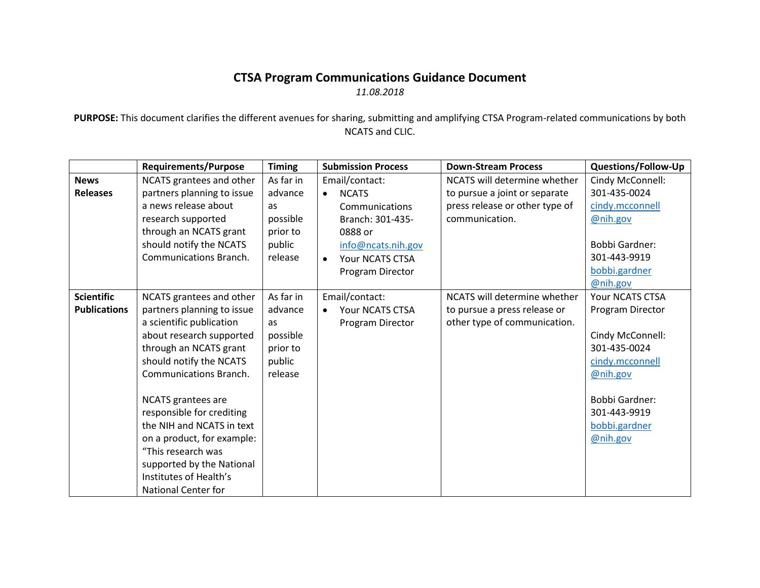## **CTSA Program Communications Guidance Document** *11.08.2018*

**PURPOSE:** This document clarifies the different avenues for sharing, submitting and amplifying CTSA Program-related communications by both NCATS and CLIC.

|                     | <b>Requirements/Purpose</b>   | <b>Timing</b> | <b>Submission Process</b>    | <b>Down-Stream Process</b>     | <b>Questions/Follow-Up</b> |
|---------------------|-------------------------------|---------------|------------------------------|--------------------------------|----------------------------|
| <b>News</b>         | NCATS grantees and other      | As far in     | Email/contact:               | NCATS will determine whether   | Cindy McConnell:           |
| <b>Releases</b>     | partners planning to issue    | advance       | <b>NCATS</b><br>$\bullet$    | to pursue a joint or separate  | 301-435-0024               |
|                     | a news release about          | as            | Communications               | press release or other type of | cindy.mcconnell            |
|                     | research supported            | possible      | Branch: 301-435-             | communication.                 | @nih.gov                   |
|                     | through an NCATS grant        | prior to      | 0888 or                      |                                |                            |
|                     | should notify the NCATS       | public        | info@ncats.nih.gov           |                                | <b>Bobbi Gardner:</b>      |
|                     | <b>Communications Branch.</b> | release       | Your NCATS CTSA<br>$\bullet$ |                                | 301-443-9919               |
|                     |                               |               | Program Director             |                                | bobbi.gardner              |
|                     |                               |               |                              |                                | @nih.gov                   |
| <b>Scientific</b>   | NCATS grantees and other      | As far in     | Email/contact:               | NCATS will determine whether   | Your NCATS CTSA            |
| <b>Publications</b> | partners planning to issue    | advance       | Your NCATS CTSA<br>$\bullet$ | to pursue a press release or   | Program Director           |
|                     | a scientific publication      | as            | Program Director             | other type of communication.   |                            |
|                     | about research supported      | possible      |                              |                                | Cindy McConnell:           |
|                     | through an NCATS grant        | prior to      |                              |                                | 301-435-0024               |
|                     | should notify the NCATS       | public        |                              |                                | cindy.mcconnell            |
|                     | <b>Communications Branch.</b> | release       |                              |                                | @nih.gov                   |
|                     |                               |               |                              |                                |                            |
|                     | <b>NCATS</b> grantees are     |               |                              |                                | <b>Bobbi Gardner:</b>      |
|                     | responsible for crediting     |               |                              |                                | 301-443-9919               |
|                     | the NIH and NCATS in text     |               |                              |                                | bobbi.gardner              |
|                     | on a product, for example:    |               |                              |                                | @nih.gov                   |
|                     | "This research was            |               |                              |                                |                            |
|                     | supported by the National     |               |                              |                                |                            |
|                     | Institutes of Health's        |               |                              |                                |                            |
|                     | <b>National Center for</b>    |               |                              |                                |                            |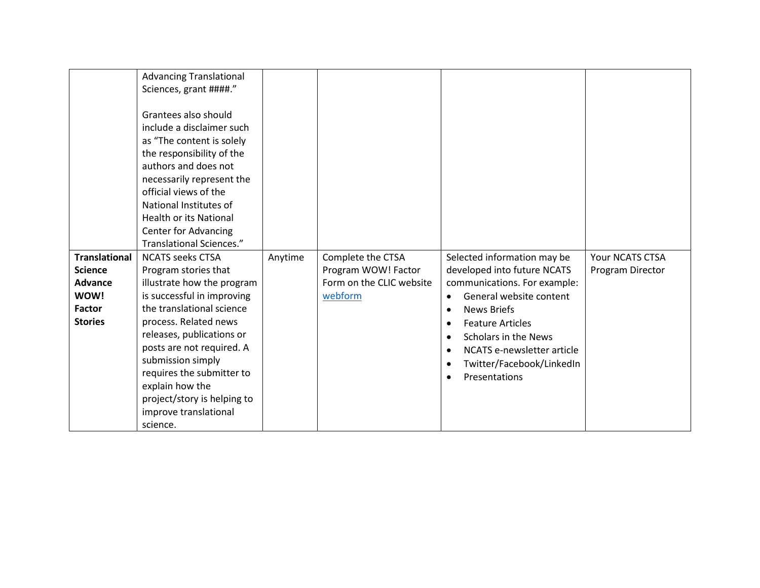|                      | <b>Advancing Translational</b>                                                                                                                                                                                                                                                                                         |         |                          |                                         |                  |
|----------------------|------------------------------------------------------------------------------------------------------------------------------------------------------------------------------------------------------------------------------------------------------------------------------------------------------------------------|---------|--------------------------|-----------------------------------------|------------------|
|                      | Sciences, grant ####."                                                                                                                                                                                                                                                                                                 |         |                          |                                         |                  |
|                      | Grantees also should<br>include a disclaimer such<br>as "The content is solely<br>the responsibility of the<br>authors and does not<br>necessarily represent the<br>official views of the<br>National Institutes of<br><b>Health or its National</b><br><b>Center for Advancing</b><br><b>Translational Sciences."</b> |         |                          |                                         |                  |
| <b>Translational</b> | <b>NCATS seeks CTSA</b>                                                                                                                                                                                                                                                                                                | Anytime | Complete the CTSA        | Selected information may be             | Your NCATS CTSA  |
| <b>Science</b>       | Program stories that                                                                                                                                                                                                                                                                                                   |         | Program WOW! Factor      | developed into future NCATS             | Program Director |
| <b>Advance</b>       | illustrate how the program                                                                                                                                                                                                                                                                                             |         | Form on the CLIC website | communications. For example:            |                  |
| <b>WOW!</b>          | is successful in improving                                                                                                                                                                                                                                                                                             |         | webform                  | General website content                 |                  |
| Factor               | the translational science                                                                                                                                                                                                                                                                                              |         |                          | <b>News Briefs</b><br>$\bullet$         |                  |
| <b>Stories</b>       | process. Related news                                                                                                                                                                                                                                                                                                  |         |                          | <b>Feature Articles</b><br>$\bullet$    |                  |
|                      | releases, publications or                                                                                                                                                                                                                                                                                              |         |                          | Scholars in the News<br>$\bullet$       |                  |
|                      | posts are not required. A                                                                                                                                                                                                                                                                                              |         |                          | NCATS e-newsletter article<br>$\bullet$ |                  |
|                      | submission simply                                                                                                                                                                                                                                                                                                      |         |                          | Twitter/Facebook/LinkedIn<br>$\bullet$  |                  |
|                      | requires the submitter to                                                                                                                                                                                                                                                                                              |         |                          | Presentations<br>$\bullet$              |                  |
|                      | explain how the                                                                                                                                                                                                                                                                                                        |         |                          |                                         |                  |
|                      | project/story is helping to                                                                                                                                                                                                                                                                                            |         |                          |                                         |                  |
|                      | improve translational                                                                                                                                                                                                                                                                                                  |         |                          |                                         |                  |
|                      | science.                                                                                                                                                                                                                                                                                                               |         |                          |                                         |                  |